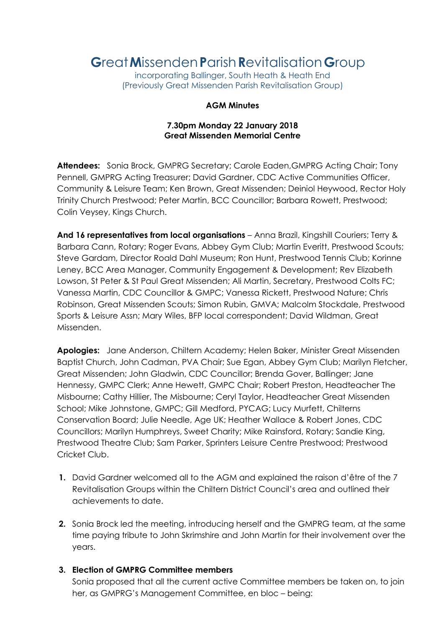# **G**reat**M**issenden**P**arish**R**evitalisation**G**roup

incorporating Ballinger, South Heath & Heath End (Previously Great Missenden Parish Revitalisation Group)

#### **AGM Minutes**

## **7.30pm Monday 22 January 2018 Great Missenden Memorial Centre**

**Attendees:** Sonia Brock, GMPRG Secretary; Carole Eaden,GMPRG Acting Chair; Tony Pennell, GMPRG Acting Treasurer; David Gardner, CDC Active Communities Officer, Community & Leisure Team; Ken Brown, Great Missenden; Deiniol Heywood, Rector Holy Trinity Church Prestwood; Peter Martin, BCC Councillor; Barbara Rowett, Prestwood; Colin Veysey, Kings Church.

**And 16 representatives from local organisations** – Anna Brazil, Kingshill Couriers; Terry & Barbara Cann, Rotary; Roger Evans, Abbey Gym Club; Martin Everitt, Prestwood Scouts; Steve Gardam, Director Roald Dahl Museum; Ron Hunt, Prestwood Tennis Club; Korinne Leney, BCC Area Manager, Community Engagement & Development; Rev Elizabeth Lowson, St Peter & St Paul Great Missenden; Ali Martin, Secretary, Prestwood Colts FC; Vanessa Martin, CDC Councillor & GMPC; Vanessa Rickett, Prestwood Nature; Chris Robinson, Great Missenden Scouts; Simon Rubin, GMVA; Malcolm Stockdale, Prestwood Sports & Leisure Assn; Mary Wiles, BFP local correspondent; David Wildman, Great Missenden.

**Apologies:** Jane Anderson, Chiltern Academy; Helen Baker, Minister Great Missenden Baptist Church, John Cadman, PVA Chair; Sue Egan, Abbey Gym Club; Marilyn Fletcher, Great Missenden; John Gladwin, CDC Councillor; Brenda Gover, Ballinger; Jane Hennessy, GMPC Clerk; Anne Hewett, GMPC Chair; Robert Preston, Headteacher The Misbourne; Cathy Hillier, The Misbourne; Ceryl Taylor, Headteacher Great Missenden School; Mike Johnstone, GMPC; Gill Medford, PYCAG; Lucy Murfett, Chilterns Conservation Board; Julie Needle, Age UK; Heather Wallace & Robert Jones, CDC Councillors; Marilyn Humphreys, Sweet Charity; Mike Rainsford, Rotary; Sandie King, Prestwood Theatre Club; Sam Parker, Sprinters Leisure Centre Prestwood; Prestwood Cricket Club.

- **1.** David Gardner welcomed all to the AGM and explained the raison d'être of the 7 Revitalisation Groups within the Chiltern District Council's area and outlined their achievements to date.
- **2.** Sonia Brock led the meeting, introducing herself and the GMPRG team, at the same time paying tribute to John Skrimshire and John Martin for their involvement over the years.

## **3. Election of GMPRG Committee members**

Sonia proposed that all the current active Committee members be taken on, to join her, as GMPRG's Management Committee, en bloc – being: